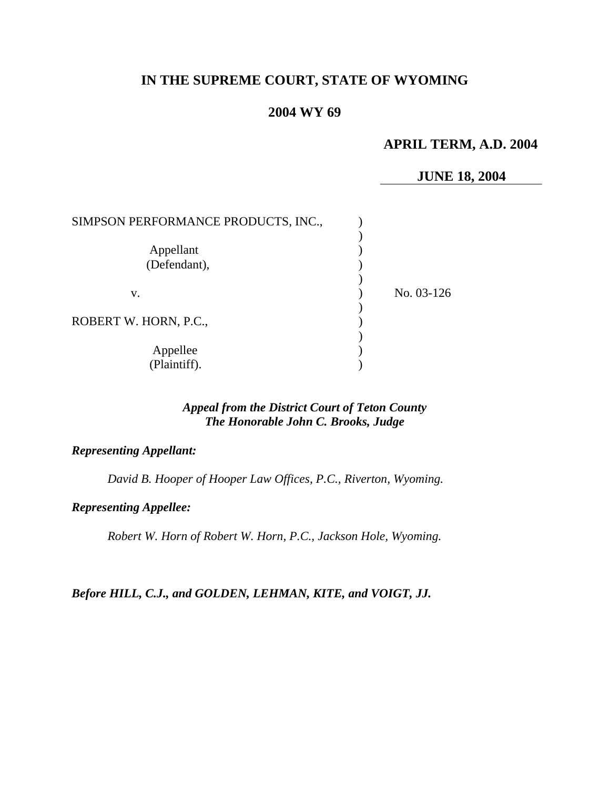# **IN THE SUPREME COURT, STATE OF WYOMING**

# **2004 WY 69**

## **APRIL TERM, A.D. 2004**

#### **JUNE 18, 2004**

| SIMPSON PERFORMANCE PRODUCTS, INC., |            |
|-------------------------------------|------------|
| Appellant<br>(Defendant),           |            |
| V.                                  | No. 03-126 |
| ROBERT W. HORN, P.C.,               |            |
| Appellee<br>(Plaintiff).            |            |

#### *Appeal from the District Court of Teton County The Honorable John C. Brooks, Judge*

#### *Representing Appellant:*

*David B. Hooper of Hooper Law Offices, P.C., Riverton, Wyoming.* 

#### *Representing Appellee:*

*Robert W. Horn of Robert W. Horn, P.C., Jackson Hole, Wyoming.* 

#### *Before HILL, C.J., and GOLDEN, LEHMAN, KITE, and VOIGT, JJ.*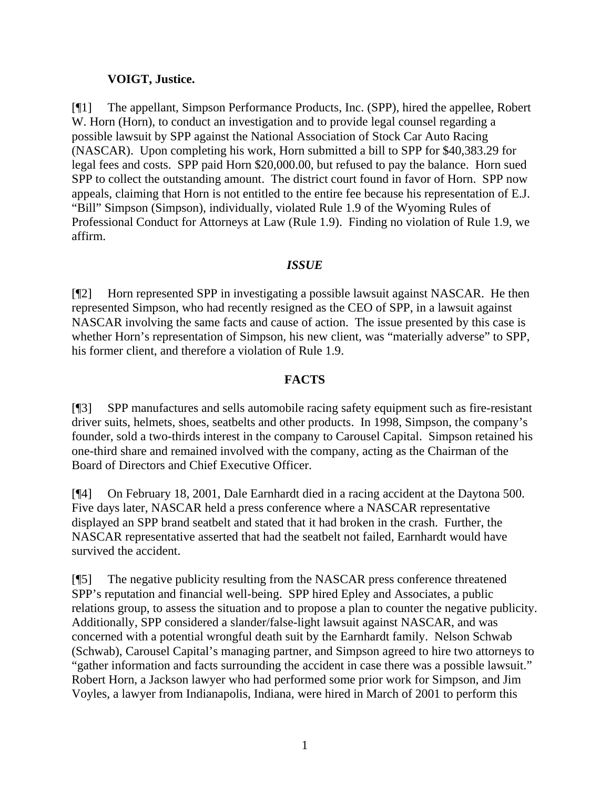### **VOIGT, Justice.**

[¶1] The appellant, Simpson Performance Products, Inc. (SPP), hired the appellee, Robert W. Horn (Horn), to conduct an investigation and to provide legal counsel regarding a possible lawsuit by SPP against the National Association of Stock Car Auto Racing (NASCAR). Upon completing his work, Horn submitted a bill to SPP for \$40,383.29 for legal fees and costs. SPP paid Horn \$20,000.00, but refused to pay the balance. Horn sued SPP to collect the outstanding amount. The district court found in favor of Horn. SPP now appeals, claiming that Horn is not entitled to the entire fee because his representation of E.J. "Bill" Simpson (Simpson), individually, violated Rule 1.9 of the Wyoming Rules of Professional Conduct for Attorneys at Law (Rule 1.9). Finding no violation of Rule 1.9, we affirm.

## *ISSUE*

[¶2] Horn represented SPP in investigating a possible lawsuit against NASCAR. He then represented Simpson, who had recently resigned as the CEO of SPP, in a lawsuit against NASCAR involving the same facts and cause of action. The issue presented by this case is whether Horn's representation of Simpson, his new client, was "materially adverse" to SPP, his former client, and therefore a violation of Rule 1.9.

## **FACTS**

[¶3] SPP manufactures and sells automobile racing safety equipment such as fire-resistant driver suits, helmets, shoes, seatbelts and other products. In 1998, Simpson, the company's founder, sold a two-thirds interest in the company to Carousel Capital. Simpson retained his one-third share and remained involved with the company, acting as the Chairman of the Board of Directors and Chief Executive Officer.

[¶4] On February 18, 2001, Dale Earnhardt died in a racing accident at the Daytona 500. Five days later, NASCAR held a press conference where a NASCAR representative displayed an SPP brand seatbelt and stated that it had broken in the crash. Further, the NASCAR representative asserted that had the seatbelt not failed, Earnhardt would have survived the accident.

[¶5] The negative publicity resulting from the NASCAR press conference threatened SPP's reputation and financial well-being. SPP hired Epley and Associates, a public relations group, to assess the situation and to propose a plan to counter the negative publicity. Additionally, SPP considered a slander/false-light lawsuit against NASCAR, and was concerned with a potential wrongful death suit by the Earnhardt family. Nelson Schwab (Schwab), Carousel Capital's managing partner, and Simpson agreed to hire two attorneys to "gather information and facts surrounding the accident in case there was a possible lawsuit." Robert Horn, a Jackson lawyer who had performed some prior work for Simpson, and Jim Voyles, a lawyer from Indianapolis, Indiana, were hired in March of 2001 to perform this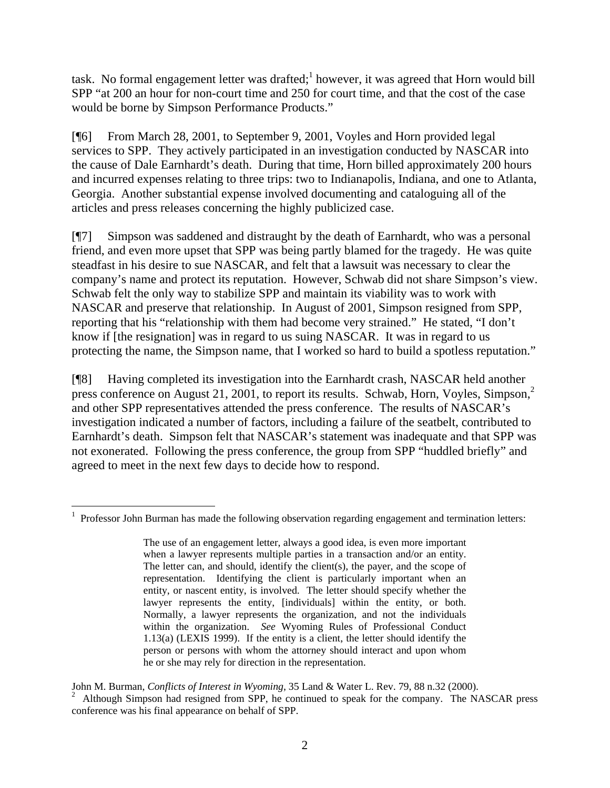task. No formal engagement letter was drafted;<sup>1</sup> however, it was agreed that Horn would bill SPP "at 200 an hour for non-court time and 250 for court time, and that the cost of the case would be borne by Simpson Performance Products."

[¶6] From March 28, 2001, to September 9, 2001, Voyles and Horn provided legal services to SPP. They actively participated in an investigation conducted by NASCAR into the cause of Dale Earnhardt's death. During that time, Horn billed approximately 200 hours and incurred expenses relating to three trips: two to Indianapolis, Indiana, and one to Atlanta, Georgia. Another substantial expense involved documenting and cataloguing all of the articles and press releases concerning the highly publicized case.

[¶7] Simpson was saddened and distraught by the death of Earnhardt, who was a personal friend, and even more upset that SPP was being partly blamed for the tragedy. He was quite steadfast in his desire to sue NASCAR, and felt that a lawsuit was necessary to clear the company's name and protect its reputation. However, Schwab did not share Simpson's view. Schwab felt the only way to stabilize SPP and maintain its viability was to work with NASCAR and preserve that relationship. In August of 2001, Simpson resigned from SPP, reporting that his "relationship with them had become very strained." He stated, "I don't know if [the resignation] was in regard to us suing NASCAR. It was in regard to us protecting the name, the Simpson name, that I worked so hard to build a spotless reputation."

[¶8] Having completed its investigation into the Earnhardt crash, NASCAR held another press conference on August 21, 2001, to report its results. Schwab, Horn, Voyles, Simpson, $2$ and other SPP representatives attended the press conference. The results of NASCAR's investigation indicated a number of factors, including a failure of the seatbelt, contributed to Earnhardt's death. Simpson felt that NASCAR's statement was inadequate and that SPP was not exonerated. Following the press conference, the group from SPP "huddled briefly" and agreed to meet in the next few days to decide how to respond.

  $1$  Professor John Burman has made the following observation regarding engagement and termination letters:

The use of an engagement letter, always a good idea, is even more important when a lawyer represents multiple parties in a transaction and/or an entity. The letter can, and should, identify the client(s), the payer, and the scope of representation. Identifying the client is particularly important when an entity, or nascent entity, is involved. The letter should specify whether the lawyer represents the entity, [individuals] within the entity, or both. Normally, a lawyer represents the organization, and not the individuals within the organization. *See* Wyoming Rules of Professional Conduct 1.13(a) (LEXIS 1999). If the entity is a client, the letter should identify the person or persons with whom the attorney should interact and upon whom he or she may rely for direction in the representation.

John M. Burman, *Conflicts of Interest in Wyoming*, 35 Land & Water L. Rev. 79, 88 n.32 (2000).<br><sup>2</sup> Although Simpson had resigned from SPP, he continued to speak for the company. The NASCAR press conference was his final appearance on behalf of SPP.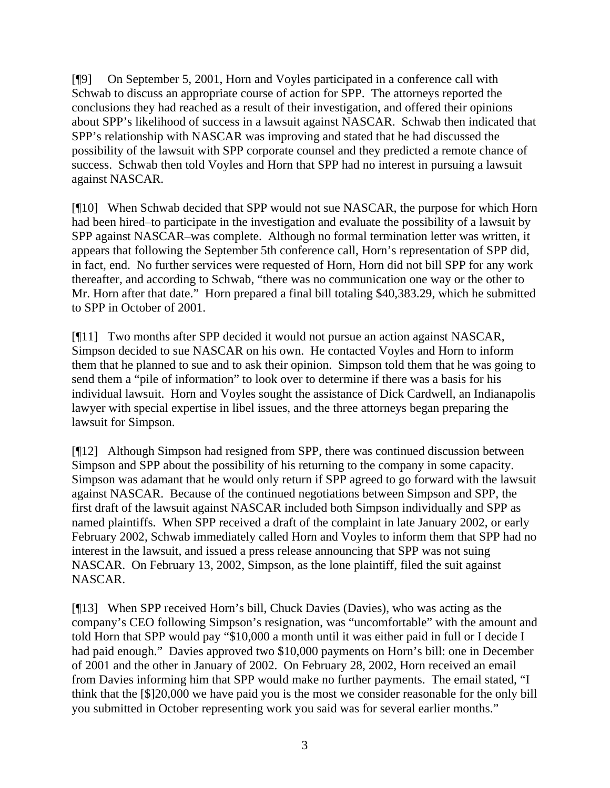[¶9] On September 5, 2001, Horn and Voyles participated in a conference call with Schwab to discuss an appropriate course of action for SPP. The attorneys reported the conclusions they had reached as a result of their investigation, and offered their opinions about SPP's likelihood of success in a lawsuit against NASCAR. Schwab then indicated that SPP's relationship with NASCAR was improving and stated that he had discussed the possibility of the lawsuit with SPP corporate counsel and they predicted a remote chance of success. Schwab then told Voyles and Horn that SPP had no interest in pursuing a lawsuit against NASCAR.

[¶10] When Schwab decided that SPP would not sue NASCAR, the purpose for which Horn had been hired–to participate in the investigation and evaluate the possibility of a lawsuit by SPP against NASCAR–was complete. Although no formal termination letter was written, it appears that following the September 5th conference call, Horn's representation of SPP did, in fact, end. No further services were requested of Horn, Horn did not bill SPP for any work thereafter, and according to Schwab, "there was no communication one way or the other to Mr. Horn after that date." Horn prepared a final bill totaling \$40,383.29, which he submitted to SPP in October of 2001.

[¶11] Two months after SPP decided it would not pursue an action against NASCAR, Simpson decided to sue NASCAR on his own. He contacted Voyles and Horn to inform them that he planned to sue and to ask their opinion. Simpson told them that he was going to send them a "pile of information" to look over to determine if there was a basis for his individual lawsuit. Horn and Voyles sought the assistance of Dick Cardwell, an Indianapolis lawyer with special expertise in libel issues, and the three attorneys began preparing the lawsuit for Simpson.

[¶12] Although Simpson had resigned from SPP, there was continued discussion between Simpson and SPP about the possibility of his returning to the company in some capacity. Simpson was adamant that he would only return if SPP agreed to go forward with the lawsuit against NASCAR. Because of the continued negotiations between Simpson and SPP, the first draft of the lawsuit against NASCAR included both Simpson individually and SPP as named plaintiffs. When SPP received a draft of the complaint in late January 2002, or early February 2002, Schwab immediately called Horn and Voyles to inform them that SPP had no interest in the lawsuit, and issued a press release announcing that SPP was not suing NASCAR. On February 13, 2002, Simpson, as the lone plaintiff, filed the suit against NASCAR.

[¶13] When SPP received Horn's bill, Chuck Davies (Davies), who was acting as the company's CEO following Simpson's resignation, was "uncomfortable" with the amount and told Horn that SPP would pay "\$10,000 a month until it was either paid in full or I decide I had paid enough." Davies approved two \$10,000 payments on Horn's bill: one in December of 2001 and the other in January of 2002. On February 28, 2002, Horn received an email from Davies informing him that SPP would make no further payments. The email stated, "I think that the [\$]20,000 we have paid you is the most we consider reasonable for the only bill you submitted in October representing work you said was for several earlier months."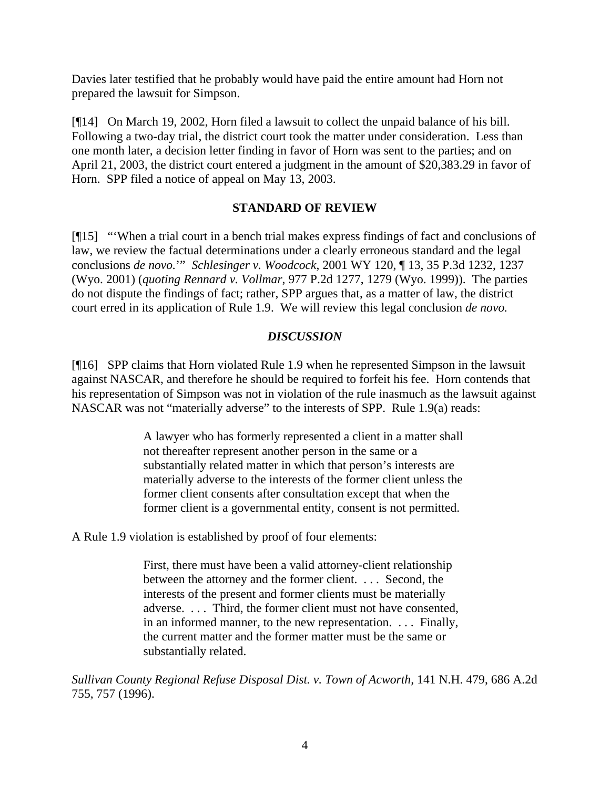Davies later testified that he probably would have paid the entire amount had Horn not prepared the lawsuit for Simpson.

[¶14] On March 19, 2002, Horn filed a lawsuit to collect the unpaid balance of his bill. Following a two-day trial, the district court took the matter under consideration. Less than one month later, a decision letter finding in favor of Horn was sent to the parties; and on April 21, 2003, the district court entered a judgment in the amount of \$20,383.29 in favor of Horn. SPP filed a notice of appeal on May 13, 2003.

## **STANDARD OF REVIEW**

[¶15] "'When a trial court in a bench trial makes express findings of fact and conclusions of law, we review the factual determinations under a clearly erroneous standard and the legal conclusions *de novo.*'" *Schlesinger v. Woodcock*, 2001 WY 120, ¶ 13, 35 P.3d 1232, 1237 (Wyo. 2001) (*quoting Rennard v. Vollmar*, 977 P.2d 1277, 1279 (Wyo. 1999)). The parties do not dispute the findings of fact; rather, SPP argues that, as a matter of law, the district court erred in its application of Rule 1.9. We will review this legal conclusion *de novo.*

## *DISCUSSION*

[¶16] SPP claims that Horn violated Rule 1.9 when he represented Simpson in the lawsuit against NASCAR, and therefore he should be required to forfeit his fee. Horn contends that his representation of Simpson was not in violation of the rule inasmuch as the lawsuit against NASCAR was not "materially adverse" to the interests of SPP. Rule 1.9(a) reads:

> A lawyer who has formerly represented a client in a matter shall not thereafter represent another person in the same or a substantially related matter in which that person's interests are materially adverse to the interests of the former client unless the former client consents after consultation except that when the former client is a governmental entity, consent is not permitted.

A Rule 1.9 violation is established by proof of four elements:

First, there must have been a valid attorney-client relationship between the attorney and the former client. . . . Second, the interests of the present and former clients must be materially adverse. . . . Third, the former client must not have consented, in an informed manner, to the new representation. . . . Finally, the current matter and the former matter must be the same or substantially related.

*Sullivan County Regional Refuse Disposal Dist. v. Town of Acworth,* 141 N.H. 479, 686 A.2d 755, 757 (1996).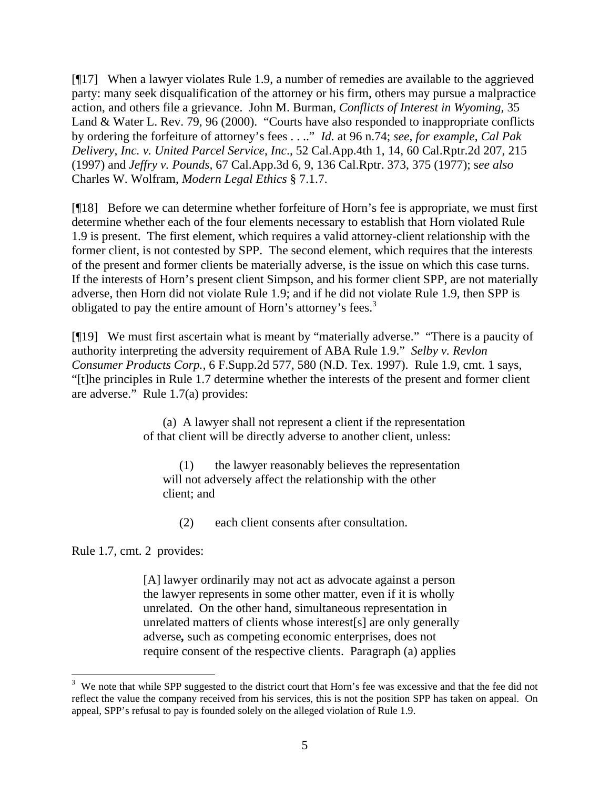[¶17] When a lawyer violates Rule 1.9, a number of remedies are available to the aggrieved party: many seek disqualification of the attorney or his firm, others may pursue a malpractice action, and others file a grievance. John M. Burman, *Conflicts of Interest in Wyoming,* 35 Land & Water L. Rev. 79, 96 (2000). "Courts have also responded to inappropriate conflicts by ordering the forfeiture of attorney's fees . . .." *Id.* at 96 n.74; *see, for example*, *Cal Pak Delivery, Inc. v. United Parcel Service*, *Inc*., 52 Cal.App.4th 1, 14, 60 Cal.Rptr.2d 207, 215 (1997) and *Jeffry v. Pounds,* 67 Cal.App.3d 6, 9, 136 Cal.Rptr. 373, 375 (1977); s*ee also*  Charles W. Wolfram, *Modern Legal Ethics* § 7.1.7.

[¶18] Before we can determine whether forfeiture of Horn's fee is appropriate, we must first determine whether each of the four elements necessary to establish that Horn violated Rule 1.9 is present. The first element, which requires a valid attorney-client relationship with the former client, is not contested by SPP. The second element, which requires that the interests of the present and former clients be materially adverse, is the issue on which this case turns. If the interests of Horn's present client Simpson, and his former client SPP, are not materially adverse, then Horn did not violate Rule 1.9; and if he did not violate Rule 1.9, then SPP is obligated to pay the entire amount of Horn's attorney's fees.<sup>3</sup>

[¶19] We must first ascertain what is meant by "materially adverse." "There is a paucity of authority interpreting the adversity requirement of ABA Rule 1.9." *Selby v. Revlon Consumer Products Corp.,* 6 F.Supp.2d 577, 580 (N.D. Tex. 1997). Rule 1.9, cmt. 1 says, "[t]he principles in Rule 1.7 determine whether the interests of the present and former client are adverse." Rule 1.7(a) provides:

> (a) A lawyer shall not represent a client if the representation of that client will be directly adverse to another client, unless:

(1) the lawyer reasonably believes the representation will not adversely affect the relationship with the other client; and

(2) each client consents after consultation.

Rule 1.7, cmt. 2 provides:

[A] lawyer ordinarily may not act as advocate against a person the lawyer represents in some other matter, even if it is wholly unrelated. On the other hand, simultaneous representation in unrelated matters of clients whose interest[s] are only generally adverse*,* such as competing economic enterprises, does not require consent of the respective clients. Paragraph (a) applies

 $3$  We note that while SPP suggested to the district court that Horn's fee was excessive and that the fee did not reflect the value the company received from his services, this is not the position SPP has taken on appeal. On appeal, SPP's refusal to pay is founded solely on the alleged violation of Rule 1.9.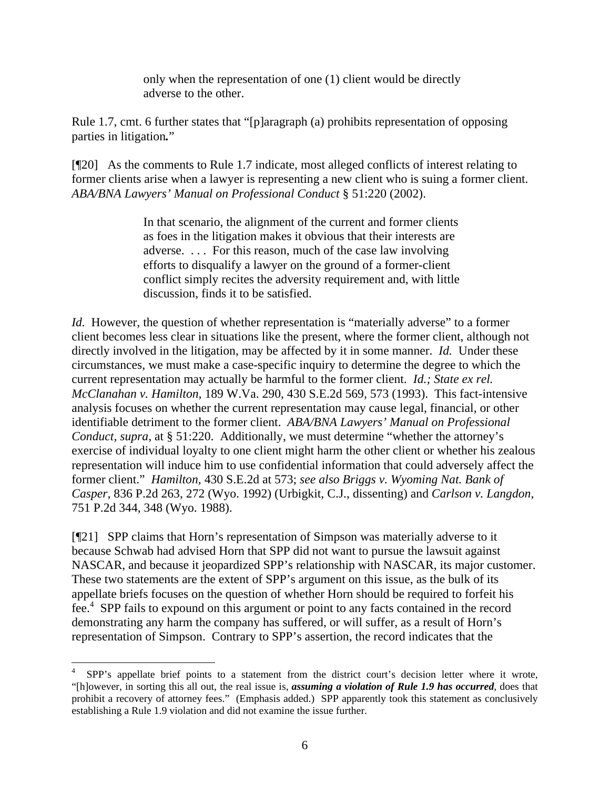only when the representation of one (1) client would be directly adverse to the other.

Rule 1.7, cmt. 6 further states that "[p]aragraph (a) prohibits representation of opposing parties in litigation*.*"

[¶20] As the comments to Rule 1.7 indicate, most alleged conflicts of interest relating to former clients arise when a lawyer is representing a new client who is suing a former client. *ABA/BNA Lawyers' Manual on Professional Conduct* § 51:220 (2002).

> In that scenario, the alignment of the current and former clients as foes in the litigation makes it obvious that their interests are adverse. . . . For this reason, much of the case law involving efforts to disqualify a lawyer on the ground of a former-client conflict simply recites the adversity requirement and, with little discussion, finds it to be satisfied.

*Id.* However, the question of whether representation is "materially adverse" to a former client becomes less clear in situations like the present, where the former client, although not directly involved in the litigation, may be affected by it in some manner. *Id.* Under these circumstances, we must make a case-specific inquiry to determine the degree to which the current representation may actually be harmful to the former client. *Id.; State ex rel. McClanahan v. Hamilton,* 189 W.Va. 290, 430 S.E.2d 569*,* 573 (1993). This fact-intensive analysis focuses on whether the current representation may cause legal, financial, or other identifiable detriment to the former client. *ABA/BNA Lawyers' Manual on Professional Conduct, supra, at* § 51:220. Additionally, we must determine "whether the attorney's exercise of individual loyalty to one client might harm the other client or whether his zealous representation will induce him to use confidential information that could adversely affect the former client." *Hamilton,* 430 S.E.2d at 573; *see also Briggs v. Wyoming Nat. Bank of Casper,* 836 P.2d 263, 272 (Wyo. 1992) (Urbigkit, C.J., dissenting) and *Carlson v. Langdon,*  751 P.2d 344, 348 (Wyo. 1988).

[¶21] SPP claims that Horn's representation of Simpson was materially adverse to it because Schwab had advised Horn that SPP did not want to pursue the lawsuit against NASCAR, and because it jeopardized SPP's relationship with NASCAR, its major customer. These two statements are the extent of SPP's argument on this issue, as the bulk of its appellate briefs focuses on the question of whether Horn should be required to forfeit his fee.<sup>4</sup> SPP fails to expound on this argument or point to any facts contained in the record demonstrating any harm the company has suffered, or will suffer, as a result of Horn's representation of Simpson. Contrary to SPP's assertion, the record indicates that the

 $\overline{a}$ 

<sup>4</sup> SPP's appellate brief points to a statement from the district court's decision letter where it wrote, "[h]owever, in sorting this all out, the real issue is, *assuming a violation of Rule 1.9 has occurred*, does that prohibit a recovery of attorney fees." (Emphasis added.) SPP apparently took this statement as conclusively establishing a Rule 1.9 violation and did not examine the issue further.